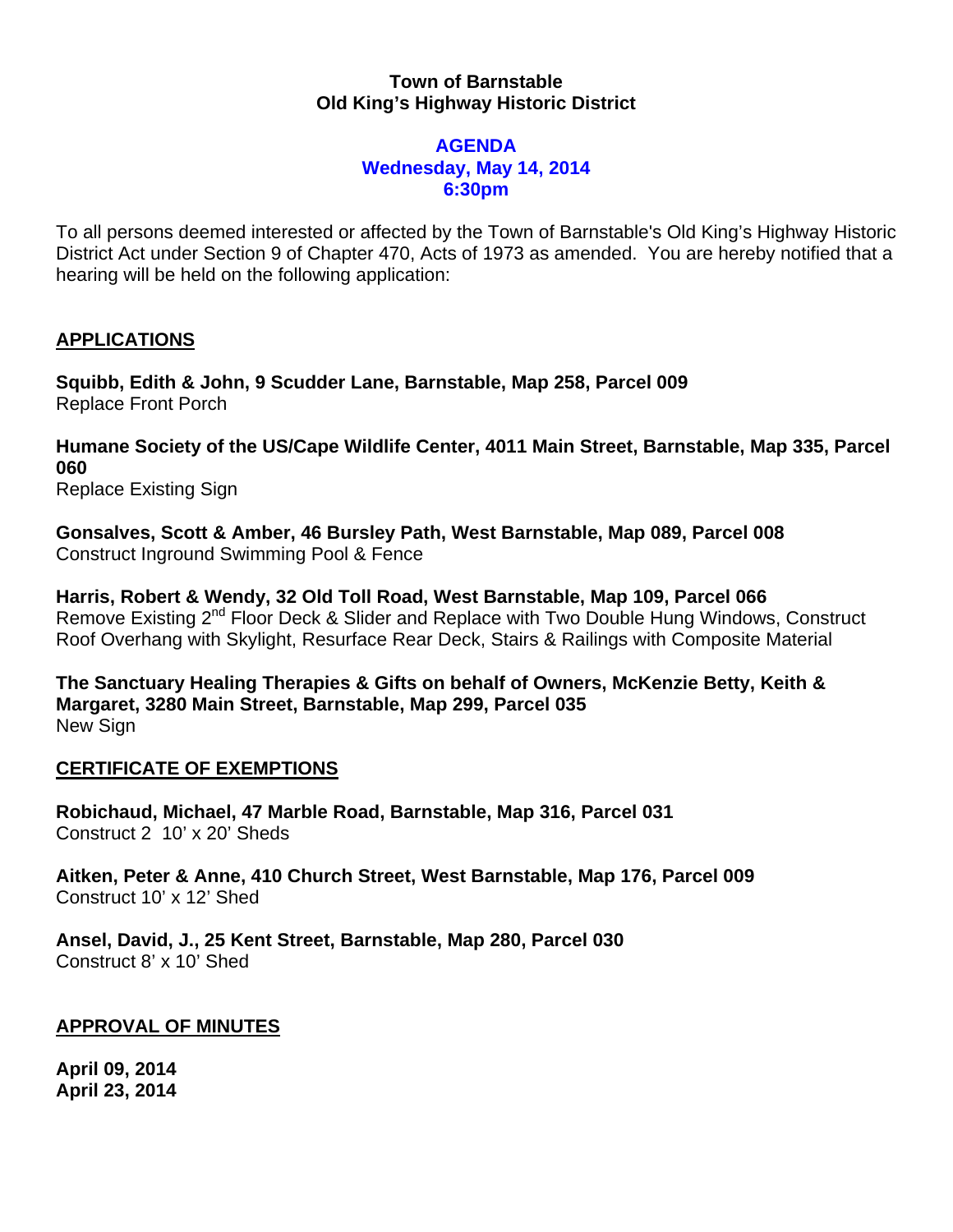## **Town of Barnstable Old King's Highway Historic District**

#### **AGENDA Wednesday, May 14, 2014 6:30pm**

To all persons deemed interested or affected by the Town of Barnstable's Old King's Highway Historic District Act under Section 9 of Chapter 470, Acts of 1973 as amended. You are hereby notified that a hearing will be held on the following application:

# **APPLICATIONS**

**Squibb, Edith & John, 9 Scudder Lane, Barnstable, Map 258, Parcel 009**  Replace Front Porch

**Humane Society of the US/Cape Wildlife Center, 4011 Main Street, Barnstable, Map 335, Parcel 060** 

Replace Existing Sign

**Gonsalves, Scott & Amber, 46 Bursley Path, West Barnstable, Map 089, Parcel 008**  Construct Inground Swimming Pool & Fence

**Harris, Robert & Wendy, 32 Old Toll Road, West Barnstable, Map 109, Parcel 066**  Remove Existing 2<sup>nd</sup> Floor Deck & Slider and Replace with Two Double Hung Windows, Construct Roof Overhang with Skylight, Resurface Rear Deck, Stairs & Railings with Composite Material

**The Sanctuary Healing Therapies & Gifts on behalf of Owners, McKenzie Betty, Keith & Margaret, 3280 Main Street, Barnstable, Map 299, Parcel 035**  New Sign

## **CERTIFICATE OF EXEMPTIONS**

**Robichaud, Michael, 47 Marble Road, Barnstable, Map 316, Parcel 031**  Construct 2 10' x 20' Sheds

**Aitken, Peter & Anne, 410 Church Street, West Barnstable, Map 176, Parcel 009**  Construct 10' x 12' Shed

**Ansel, David, J., 25 Kent Street, Barnstable, Map 280, Parcel 030**  Construct 8' x 10' Shed

## **APPROVAL OF MINUTES**

**April 09, 2014 April 23, 2014**